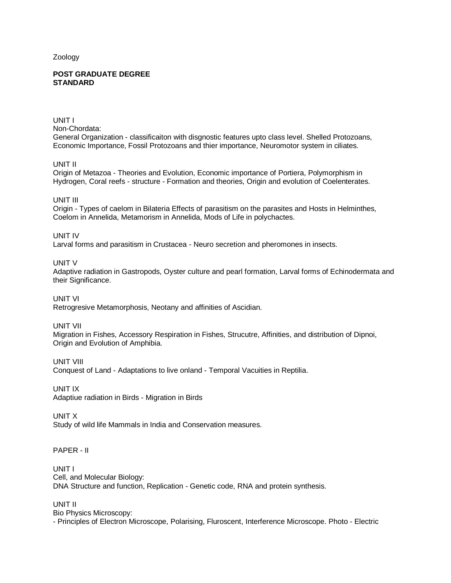#### Zoology

#### **POST GRADUATE DEGREE STANDARD**

UNIT I Non-Chordata:

General Organization - classificaiton with disgnostic features upto class level. Shelled Protozoans, Economic Importance, Fossil Protozoans and thier importance, Neuromotor system in ciliates.

UNIT II

Origin of Metazoa - Theories and Evolution, Economic importance of Portiera, Polymorphism in Hydrogen, Coral reefs - structure - Formation and theories, Origin and evolution of Coelenterates.

UNIT III

Origin - Types of caelom in Bilateria Effects of parasitism on the parasites and Hosts in Helminthes, Coelom in Annelida, Metamorism in Annelida, Mods of Life in polychactes.

UNIT IV

Larval forms and parasitism in Crustacea - Neuro secretion and pheromones in insects.

UNIT V

Adaptive radiation in Gastropods, Oyster culture and pearl formation, Larval forms of Echinodermata and their Significance.

UNIT VI

Retrogresive Metamorphosis, Neotany and affinities of Ascidian.

UNIT VII

Migration in Fishes, Accessory Respiration in Fishes, Strucutre, Affinities, and distribution of Dipnoi, Origin and Evolution of Amphibia.

UNIT VIII Conquest of Land - Adaptations to live onland - Temporal Vacuities in Reptilia.

UNIT IX Adaptiue radiation in Birds - Migration in Birds

UNIT X Study of wild life Mammals in India and Conservation measures.

PAPER - II

UNIT I Cell, and Molecular Biology: DNA Structure and function, Replication - Genetic code, RNA and protein synthesis.

UNIT II

Bio Physics Microscopy:

- Principles of Electron Microscope, Polarising, Fluroscent, Interference Microscope. Photo - Electric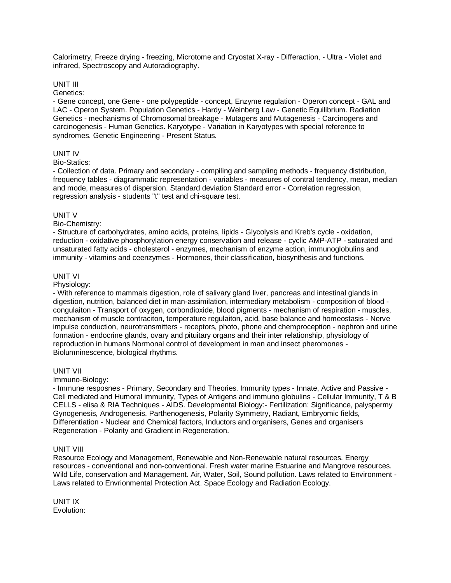Calorimetry, Freeze drying - freezing, Microtome and Cryostat X-ray - Differaction, - Ultra - Violet and infrared, Spectroscopy and Autoradiography.

#### UNIT III

Genetics:

- Gene concept, one Gene - one polypeptide - concept, Enzyme regulation - Operon concept - GAL and LAC - Operon System. Population Genetics - Hardy - Weinberg Law - Genetic Equilibrium. Radiation Genetics - mechanisms of Chromosomal breakage - Mutagens and Mutagenesis - Carcinogens and carcinogenesis - Human Genetics. Karyotype - Variation in Karyotypes with special reference to syndromes. Genetic Engineering - Present Status.

### UNIT IV

### Bio-Statics:

- Collection of data. Primary and secondary - compiling and sampling methods - frequency distribution, frequency tables - diagrammatic representation - variables - measures of contral tendency, mean, median and mode, measures of dispersion. Standard deviation Standard error - Correlation regression, regression analysis - students "t" test and chi-square test.

#### UNIT V

#### Bio-Chemistry:

- Structure of carbohydrates, amino acids, proteins, lipids - Glycolysis and Kreb's cycle - oxidation, reduction - oxidative phosphorylation energy conservation and release - cyclic AMP-ATP - saturated and unsaturated fatty acids - cholesterol - enzymes, mechanism of enzyme action, immunoglobulins and immunity - vitamins and ceenzymes - Hormones, their classification, biosynthesis and functions.

### UNIT VI

#### Physiology:

- With reference to mammals digestion, role of salivary gland liver, pancreas and intestinal glands in digestion, nutrition, balanced diet in man-assimilation, intermediary metabolism - composition of blood congulaiton - Transport of oxygen, corbondioxide, blood pigments - mechanism of respiration - muscles, mechanism of muscle contraciton, temperature regulaiton, acid, base balance and homeostasis - Nerve impulse conduction, neurotransmitters - receptors, photo, phone and chemproception - nephron and urine formation - endocrine glands, ovary and pituitary organs and their inter relationship, physiology of reproduction in humans Normonal control of development in man and insect pheromones - Biolumninescence, biological rhythms.

#### UNIT VII

Immuno-Biology:

- Immune resposnes - Primary, Secondary and Theories. Immunity types - Innate, Active and Passive - Cell mediated and Humoral immunity, Types of Antigens and immuno globulins - Cellular Immunity, T & B CELLS - elisa & RIA Techniques - AIDS. Developmental Biology:- Fertilization: Significance, palyspermy Gynogenesis, Androgenesis, Parthenogenesis, Polarity Symmetry, Radiant, Embryomic fields, Differentiation - Nuclear and Chemical factors, Inductors and organisers, Genes and organisers Regeneration - Polarity and Gradient in Regeneration.

## UNIT VIII

Resource Ecology and Management, Renewable and Non-Renewable natural resources. Energy resources - conventional and non-conventional. Fresh water marine Estuarine and Mangrove resources. Wild Life, conservation and Management. Air, Water, Soil, Sound pollution. Laws related to Environment - Laws related to Envrionmental Protection Act. Space Ecology and Radiation Ecology.

UNIT IX Evolution: